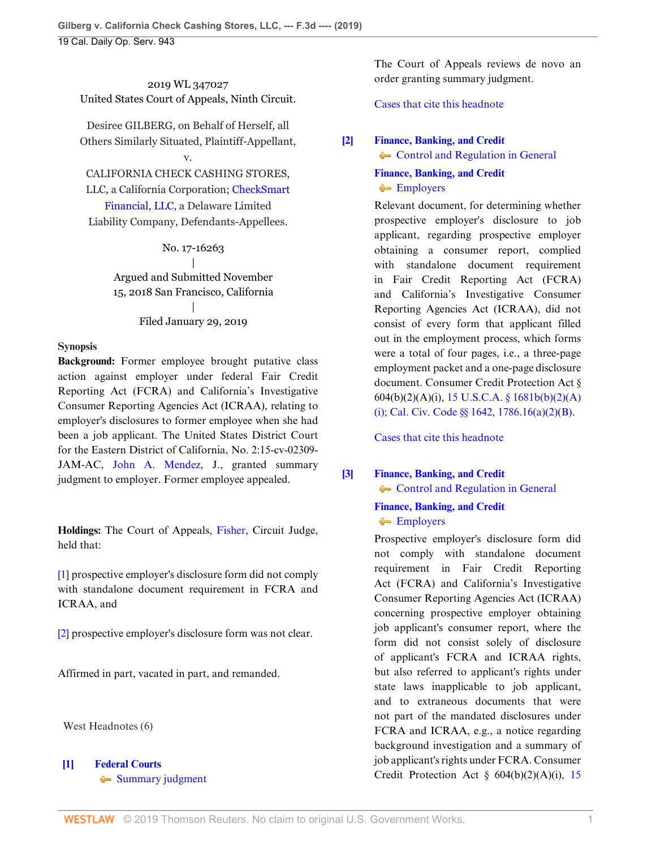2019 WL 347027 United States Court of Appeals, Ninth Circuit.

Desiree GILBERG, on Behalf of Herself, all Others Similarly Situated, Plaintiff-Appellant,

# v.

CALIFORNIA CHECK CASHING STORES, LLC, a California Corporation; [CheckSmart](http://www.westlaw.com/Search/Results.html?query=advanced%3a+OAID(5035708099)&saveJuris=False&contentType=BUSINESS-INVESTIGATOR&startIndex=1&contextData=(sc.Default)&categoryPageUrl=Home%2fCompanyInvestigator&originationContext=document&vr=3.0&rs=cblt1.0&transitionType=DocumentItem) [Financial, LLC](http://www.westlaw.com/Search/Results.html?query=advanced%3a+OAID(5035708099)&saveJuris=False&contentType=BUSINESS-INVESTIGATOR&startIndex=1&contextData=(sc.Default)&categoryPageUrl=Home%2fCompanyInvestigator&originationContext=document&vr=3.0&rs=cblt1.0&transitionType=DocumentItem), a Delaware Limited Liability Company, Defendants-Appellees.

> No. 17-16263 | Argued and Submitted November 15, 2018 San Francisco, California | Filed January 29, 2019

#### **Synopsis**

**Background:** Former employee brought putative class action against employer under federal Fair Credit Reporting Act (FCRA) and California's Investigative Consumer Reporting Agencies Act (ICRAA), relating to employer's disclosures to former employee when she had been a job applicant. The United States District Court for the Eastern District of California, No. 2:15-cv-02309- JAM-AC, [John A. Mendez](http://www.westlaw.com/Link/Document/FullText?findType=h&pubNum=176284&cite=0132357301&originatingDoc=I6fd570a023e611e9a174b18b713fc6d4&refType=RQ&originationContext=document&vr=3.0&rs=cblt1.0&transitionType=DocumentItem&contextData=(sc.Default)), J., granted summary judgment to employer. Former employee appealed.

**Holdings:** The Court of Appeals, [Fisher](http://www.westlaw.com/Link/Document/FullText?findType=h&pubNum=176284&cite=0166330201&originatingDoc=I6fd570a023e611e9a174b18b713fc6d4&refType=RQ&originationContext=document&vr=3.0&rs=cblt1.0&transitionType=DocumentItem&contextData=(sc.Default)), Circuit Judge, held that:

[\[1\]](#page-0-0) prospective employer's disclosure form did not comply with standalone document requirement in FCRA and ICRAA, and

[\[2\]](#page-1-0) prospective employer's disclosure form was not clear.

Affirmed in part, vacated in part, and remanded.

West Headnotes (6)

# <span id="page-0-1"></span>**[\[1\]](#page-4-0) [Federal Courts](http://www.westlaw.com/Browse/Home/KeyNumber/170B/View.html?docGuid=I6fd570a023e611e9a174b18b713fc6d4&originationContext=document&vr=3.0&rs=cblt1.0&transitionType=DocumentItem&contextData=(sc.Default)) [Summary judgment](http://www.westlaw.com/Browse/Home/KeyNumber/170Bk3604(4)/View.html?docGuid=I6fd570a023e611e9a174b18b713fc6d4&originationContext=document&vr=3.0&rs=cblt1.0&transitionType=DocumentItem&contextData=(sc.Default))**

The Court of Appeals reviews de novo an order granting summary judgment.

[Cases that cite this headnote](http://www.westlaw.com/Link/RelatedInformation/DocHeadnoteLink?docGuid=I6fd570a023e611e9a174b18b713fc6d4&headnoteId=204741417400620190204084658&originationContext=document&vr=3.0&rs=cblt1.0&transitionType=CitingReferences&contextData=(sc.Default))

# <span id="page-0-2"></span>**[\[2\]](#page-4-1) [Finance, Banking, and Credit](http://www.westlaw.com/Browse/Home/KeyNumber/172H/View.html?docGuid=I6fd570a023e611e9a174b18b713fc6d4&originationContext=document&vr=3.0&rs=cblt1.0&transitionType=DocumentItem&contextData=(sc.Default))**

• [Control and Regulation in General](http://www.westlaw.com/Browse/Home/KeyNumber/172Hk1302/View.html?docGuid=I6fd570a023e611e9a174b18b713fc6d4&originationContext=document&vr=3.0&rs=cblt1.0&transitionType=DocumentItem&contextData=(sc.Default))

**[Finance, Banking, and Credit](http://www.westlaw.com/Browse/Home/KeyNumber/172H/View.html?docGuid=I6fd570a023e611e9a174b18b713fc6d4&originationContext=document&vr=3.0&rs=cblt1.0&transitionType=DocumentItem&contextData=(sc.Default)) [Employers](http://www.westlaw.com/Browse/Home/KeyNumber/172Hk1436/View.html?docGuid=I6fd570a023e611e9a174b18b713fc6d4&originationContext=document&vr=3.0&rs=cblt1.0&transitionType=DocumentItem&contextData=(sc.Default))** 

Relevant document, for determining whether prospective employer's disclosure to job applicant, regarding prospective employer obtaining a consumer report, complied with standalone document requirement in Fair Credit Reporting Act (FCRA) and California's Investigative Consumer Reporting Agencies Act (ICRAA), did not consist of every form that applicant filled out in the employment process, which forms were a total of four pages, i.e., a three-page employment packet and a one-page disclosure document. Consumer Credit Protection Act § 604(b)(2)(A)(i), [15 U.S.C.A. § 1681b\(b\)\(2\)\(A\)](http://www.westlaw.com/Link/Document/FullText?findType=L&pubNum=1000546&cite=15USCAS1681B&originatingDoc=I6fd570a023e611e9a174b18b713fc6d4&refType=SP&originationContext=document&vr=3.0&rs=cblt1.0&transitionType=DocumentItem&contextData=(sc.Default)#co_pp_226a0000d5fe7) [\(i\);](http://www.westlaw.com/Link/Document/FullText?findType=L&pubNum=1000546&cite=15USCAS1681B&originatingDoc=I6fd570a023e611e9a174b18b713fc6d4&refType=SP&originationContext=document&vr=3.0&rs=cblt1.0&transitionType=DocumentItem&contextData=(sc.Default)#co_pp_226a0000d5fe7) [Cal. Civ. Code §§ 1642,](http://www.westlaw.com/Link/Document/FullText?findType=L&pubNum=1000200&cite=CACIS1642&originatingDoc=I6fd570a023e611e9a174b18b713fc6d4&refType=LQ&originationContext=document&vr=3.0&rs=cblt1.0&transitionType=DocumentItem&contextData=(sc.Default)) [1786.16\(a\)\(2\)\(B\)](http://www.westlaw.com/Link/Document/FullText?findType=L&pubNum=1000200&cite=CACIS1786.16&originatingDoc=I6fd570a023e611e9a174b18b713fc6d4&refType=SP&originationContext=document&vr=3.0&rs=cblt1.0&transitionType=DocumentItem&contextData=(sc.Default)#co_pp_f93f00008d291).

[Cases that cite this headnote](http://www.westlaw.com/Link/RelatedInformation/DocHeadnoteLink?docGuid=I6fd570a023e611e9a174b18b713fc6d4&headnoteId=204741417400720190204084658&originationContext=document&vr=3.0&rs=cblt1.0&transitionType=CitingReferences&contextData=(sc.Default))

# <span id="page-0-0"></span>**[\[3\]](#page-5-0) [Finance, Banking, and Credit](http://www.westlaw.com/Browse/Home/KeyNumber/172H/View.html?docGuid=I6fd570a023e611e9a174b18b713fc6d4&originationContext=document&vr=3.0&rs=cblt1.0&transitionType=DocumentItem&contextData=(sc.Default))**

 $\leftarrow$  [Control and Regulation in General](http://www.westlaw.com/Browse/Home/KeyNumber/172Hk1302/View.html?docGuid=I6fd570a023e611e9a174b18b713fc6d4&originationContext=document&vr=3.0&rs=cblt1.0&transitionType=DocumentItem&contextData=(sc.Default))

## **[Finance, Banking, and Credit](http://www.westlaw.com/Browse/Home/KeyNumber/172H/View.html?docGuid=I6fd570a023e611e9a174b18b713fc6d4&originationContext=document&vr=3.0&rs=cblt1.0&transitionType=DocumentItem&contextData=(sc.Default)) [Employers](http://www.westlaw.com/Browse/Home/KeyNumber/172Hk1436/View.html?docGuid=I6fd570a023e611e9a174b18b713fc6d4&originationContext=document&vr=3.0&rs=cblt1.0&transitionType=DocumentItem&contextData=(sc.Default))**

Prospective employer's disclosure form did not comply with standalone document requirement in Fair Credit Reporting Act (FCRA) and California's Investigative Consumer Reporting Agencies Act (ICRAA) concerning prospective employer obtaining job applicant's consumer report, where the form did not consist solely of disclosure of applicant's FCRA and ICRAA rights, but also referred to applicant's rights under state laws inapplicable to job applicant, and to extraneous documents that were not part of the mandated disclosures under FCRA and ICRAA, e.g., a notice regarding background investigation and a summary of job applicant's rights under FCRA. Consumer Credit Protection Act § 604(b)(2)(A)(i), [15](http://www.westlaw.com/Link/Document/FullText?findType=L&pubNum=1000546&cite=15USCAS1681B&originatingDoc=I6fd570a023e611e9a174b18b713fc6d4&refType=SP&originationContext=document&vr=3.0&rs=cblt1.0&transitionType=DocumentItem&contextData=(sc.Default)#co_pp_226a0000d5fe7)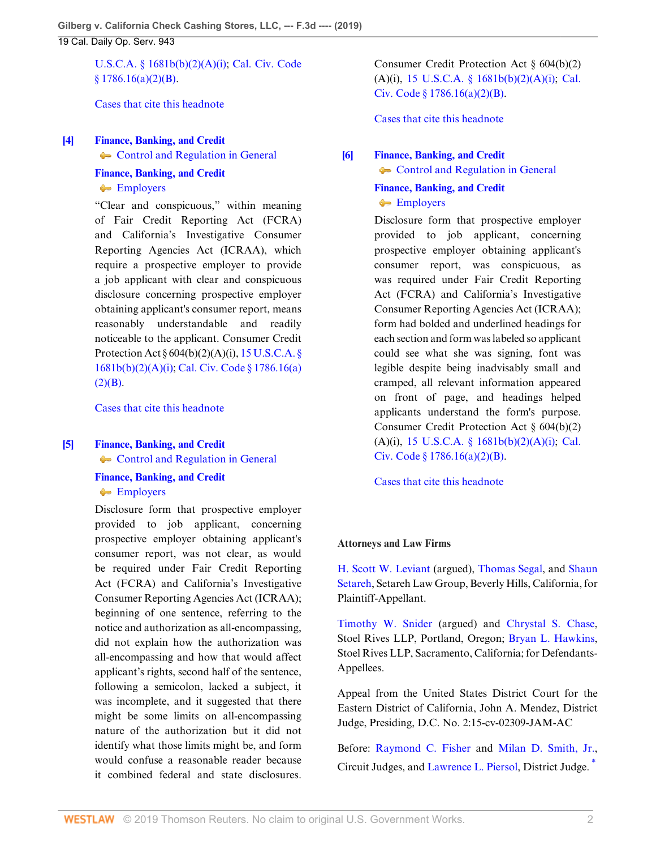[U.S.C.A. § 1681b\(b\)\(2\)\(A\)\(i\)](http://www.westlaw.com/Link/Document/FullText?findType=L&pubNum=1000546&cite=15USCAS1681B&originatingDoc=I6fd570a023e611e9a174b18b713fc6d4&refType=SP&originationContext=document&vr=3.0&rs=cblt1.0&transitionType=DocumentItem&contextData=(sc.Default)#co_pp_226a0000d5fe7); [Cal. Civ. Code](http://www.westlaw.com/Link/Document/FullText?findType=L&pubNum=1000200&cite=CACIS1786.16&originatingDoc=I6fd570a023e611e9a174b18b713fc6d4&refType=SP&originationContext=document&vr=3.0&rs=cblt1.0&transitionType=DocumentItem&contextData=(sc.Default)#co_pp_f93f00008d291)  $$1786.16(a)(2)(B).$ 

[Cases that cite this headnote](http://www.westlaw.com/Link/RelatedInformation/DocHeadnoteLink?docGuid=I6fd570a023e611e9a174b18b713fc6d4&headnoteId=204741417400820190204084658&originationContext=document&vr=3.0&rs=cblt1.0&transitionType=CitingReferences&contextData=(sc.Default))

# <span id="page-1-1"></span>**[\[4\]](#page-6-0) [Finance, Banking, and Credit](http://www.westlaw.com/Browse/Home/KeyNumber/172H/View.html?docGuid=I6fd570a023e611e9a174b18b713fc6d4&originationContext=document&vr=3.0&rs=cblt1.0&transitionType=DocumentItem&contextData=(sc.Default))** • [Control and Regulation in General](http://www.westlaw.com/Browse/Home/KeyNumber/172Hk1302/View.html?docGuid=I6fd570a023e611e9a174b18b713fc6d4&originationContext=document&vr=3.0&rs=cblt1.0&transitionType=DocumentItem&contextData=(sc.Default))

# **[Finance, Banking, and Credit](http://www.westlaw.com/Browse/Home/KeyNumber/172H/View.html?docGuid=I6fd570a023e611e9a174b18b713fc6d4&originationContext=document&vr=3.0&rs=cblt1.0&transitionType=DocumentItem&contextData=(sc.Default))**

**[Employers](http://www.westlaw.com/Browse/Home/KeyNumber/172Hk1436/View.html?docGuid=I6fd570a023e611e9a174b18b713fc6d4&originationContext=document&vr=3.0&rs=cblt1.0&transitionType=DocumentItem&contextData=(sc.Default))** 

"Clear and conspicuous," within meaning of Fair Credit Reporting Act (FCRA) and California's Investigative Consumer Reporting Agencies Act (ICRAA), which require a prospective employer to provide a job applicant with clear and conspicuous disclosure concerning prospective employer obtaining applicant's consumer report, means reasonably understandable and readily noticeable to the applicant. Consumer Credit Protection Act § 604(b)(2)(A)(i), [15 U.S.C.A. §](http://www.westlaw.com/Link/Document/FullText?findType=L&pubNum=1000546&cite=15USCAS1681B&originatingDoc=I6fd570a023e611e9a174b18b713fc6d4&refType=SP&originationContext=document&vr=3.0&rs=cblt1.0&transitionType=DocumentItem&contextData=(sc.Default)#co_pp_226a0000d5fe7) [1681b\(b\)\(2\)\(A\)\(i\);](http://www.westlaw.com/Link/Document/FullText?findType=L&pubNum=1000546&cite=15USCAS1681B&originatingDoc=I6fd570a023e611e9a174b18b713fc6d4&refType=SP&originationContext=document&vr=3.0&rs=cblt1.0&transitionType=DocumentItem&contextData=(sc.Default)#co_pp_226a0000d5fe7) [Cal. Civ. Code § 1786.16\(a\)](http://www.westlaw.com/Link/Document/FullText?findType=L&pubNum=1000200&cite=CACIS1786.16&originatingDoc=I6fd570a023e611e9a174b18b713fc6d4&refType=SP&originationContext=document&vr=3.0&rs=cblt1.0&transitionType=DocumentItem&contextData=(sc.Default)#co_pp_f93f00008d291)  $(2)(B).$  $(2)(B).$ 

[Cases that cite this headnote](http://www.westlaw.com/Link/RelatedInformation/DocHeadnoteLink?docGuid=I6fd570a023e611e9a174b18b713fc6d4&headnoteId=204741417400920190204084658&originationContext=document&vr=3.0&rs=cblt1.0&transitionType=CitingReferences&contextData=(sc.Default))

#### <span id="page-1-0"></span>**[\[5\]](#page-6-1) [Finance, Banking, and Credit](http://www.westlaw.com/Browse/Home/KeyNumber/172H/View.html?docGuid=I6fd570a023e611e9a174b18b713fc6d4&originationContext=document&vr=3.0&rs=cblt1.0&transitionType=DocumentItem&contextData=(sc.Default))**

 $\rightarrow$  [Control and Regulation in General](http://www.westlaw.com/Browse/Home/KeyNumber/172Hk1302/View.html?docGuid=I6fd570a023e611e9a174b18b713fc6d4&originationContext=document&vr=3.0&rs=cblt1.0&transitionType=DocumentItem&contextData=(sc.Default))

**[Finance, Banking, and Credit](http://www.westlaw.com/Browse/Home/KeyNumber/172H/View.html?docGuid=I6fd570a023e611e9a174b18b713fc6d4&originationContext=document&vr=3.0&rs=cblt1.0&transitionType=DocumentItem&contextData=(sc.Default)) [Employers](http://www.westlaw.com/Browse/Home/KeyNumber/172Hk1436/View.html?docGuid=I6fd570a023e611e9a174b18b713fc6d4&originationContext=document&vr=3.0&rs=cblt1.0&transitionType=DocumentItem&contextData=(sc.Default))** 

Disclosure form that prospective employer provided to job applicant, concerning prospective employer obtaining applicant's consumer report, was not clear, as would be required under Fair Credit Reporting Act (FCRA) and California's Investigative Consumer Reporting Agencies Act (ICRAA); beginning of one sentence, referring to the notice and authorization as all-encompassing, did not explain how the authorization was all-encompassing and how that would affect applicant's rights, second half of the sentence, following a semicolon, lacked a subject, it was incomplete, and it suggested that there might be some limits on all-encompassing nature of the authorization but it did not identify what those limits might be, and form would confuse a reasonable reader because it combined federal and state disclosures. Consumer Credit Protection Act § 604(b)(2)  $(A)(i)$ , [15 U.S.C.A. § 1681b\(b\)\(2\)\(A\)\(i\)](http://www.westlaw.com/Link/Document/FullText?findType=L&pubNum=1000546&cite=15USCAS1681B&originatingDoc=I6fd570a023e611e9a174b18b713fc6d4&refType=SP&originationContext=document&vr=3.0&rs=cblt1.0&transitionType=DocumentItem&contextData=(sc.Default)#co_pp_226a0000d5fe7); [Cal.](http://www.westlaw.com/Link/Document/FullText?findType=L&pubNum=1000200&cite=CACIS1786.16&originatingDoc=I6fd570a023e611e9a174b18b713fc6d4&refType=SP&originationContext=document&vr=3.0&rs=cblt1.0&transitionType=DocumentItem&contextData=(sc.Default)#co_pp_f93f00008d291) [Civ. Code § 1786.16\(a\)\(2\)\(B\)](http://www.westlaw.com/Link/Document/FullText?findType=L&pubNum=1000200&cite=CACIS1786.16&originatingDoc=I6fd570a023e611e9a174b18b713fc6d4&refType=SP&originationContext=document&vr=3.0&rs=cblt1.0&transitionType=DocumentItem&contextData=(sc.Default)#co_pp_f93f00008d291).

[Cases that cite this headnote](http://www.westlaw.com/Link/RelatedInformation/DocHeadnoteLink?docGuid=I6fd570a023e611e9a174b18b713fc6d4&headnoteId=204741417401020190204084658&originationContext=document&vr=3.0&rs=cblt1.0&transitionType=CitingReferences&contextData=(sc.Default))

## <span id="page-1-2"></span>**[\[6\]](#page-6-2) [Finance, Banking, and Credit](http://www.westlaw.com/Browse/Home/KeyNumber/172H/View.html?docGuid=I6fd570a023e611e9a174b18b713fc6d4&originationContext=document&vr=3.0&rs=cblt1.0&transitionType=DocumentItem&contextData=(sc.Default))**

[Control and Regulation in General](http://www.westlaw.com/Browse/Home/KeyNumber/172Hk1302/View.html?docGuid=I6fd570a023e611e9a174b18b713fc6d4&originationContext=document&vr=3.0&rs=cblt1.0&transitionType=DocumentItem&contextData=(sc.Default))

**[Finance, Banking, and Credit](http://www.westlaw.com/Browse/Home/KeyNumber/172H/View.html?docGuid=I6fd570a023e611e9a174b18b713fc6d4&originationContext=document&vr=3.0&rs=cblt1.0&transitionType=DocumentItem&contextData=(sc.Default)) [Employers](http://www.westlaw.com/Browse/Home/KeyNumber/172Hk1436/View.html?docGuid=I6fd570a023e611e9a174b18b713fc6d4&originationContext=document&vr=3.0&rs=cblt1.0&transitionType=DocumentItem&contextData=(sc.Default))** 

Disclosure form that prospective employer provided to job applicant, concerning prospective employer obtaining applicant's consumer report, was conspicuous, as was required under Fair Credit Reporting Act (FCRA) and California's Investigative Consumer Reporting Agencies Act (ICRAA); form had bolded and underlined headings for each section and form was labeled so applicant could see what she was signing, font was legible despite being inadvisably small and cramped, all relevant information appeared on front of page, and headings helped applicants understand the form's purpose. Consumer Credit Protection Act § 604(b)(2) (A)(i), [15 U.S.C.A. § 1681b\(b\)\(2\)\(A\)\(i\)](http://www.westlaw.com/Link/Document/FullText?findType=L&pubNum=1000546&cite=15USCAS1681B&originatingDoc=I6fd570a023e611e9a174b18b713fc6d4&refType=SP&originationContext=document&vr=3.0&rs=cblt1.0&transitionType=DocumentItem&contextData=(sc.Default)#co_pp_226a0000d5fe7); [Cal.](http://www.westlaw.com/Link/Document/FullText?findType=L&pubNum=1000200&cite=CACIS1786.16&originatingDoc=I6fd570a023e611e9a174b18b713fc6d4&refType=SP&originationContext=document&vr=3.0&rs=cblt1.0&transitionType=DocumentItem&contextData=(sc.Default)#co_pp_f93f00008d291) [Civ. Code § 1786.16\(a\)\(2\)\(B\)](http://www.westlaw.com/Link/Document/FullText?findType=L&pubNum=1000200&cite=CACIS1786.16&originatingDoc=I6fd570a023e611e9a174b18b713fc6d4&refType=SP&originationContext=document&vr=3.0&rs=cblt1.0&transitionType=DocumentItem&contextData=(sc.Default)#co_pp_f93f00008d291).

[Cases that cite this headnote](http://www.westlaw.com/Link/RelatedInformation/DocHeadnoteLink?docGuid=I6fd570a023e611e9a174b18b713fc6d4&headnoteId=204741417401220190204084658&originationContext=document&vr=3.0&rs=cblt1.0&transitionType=CitingReferences&contextData=(sc.Default))

# **Attorneys and Law Firms**

[H. Scott W. Leviant](http://www.westlaw.com/Link/Document/FullText?findType=h&pubNum=176284&cite=0342475701&originatingDoc=I6fd570a023e611e9a174b18b713fc6d4&refType=RQ&originationContext=document&vr=3.0&rs=cblt1.0&transitionType=DocumentItem&contextData=(sc.Default)) (argued), [Thomas Segal](http://www.westlaw.com/Link/Document/FullText?findType=h&pubNum=176284&cite=0329453301&originatingDoc=I6fd570a023e611e9a174b18b713fc6d4&refType=RQ&originationContext=document&vr=3.0&rs=cblt1.0&transitionType=DocumentItem&contextData=(sc.Default)), and [Shaun](http://www.westlaw.com/Link/Document/FullText?findType=h&pubNum=176284&cite=0316931301&originatingDoc=I6fd570a023e611e9a174b18b713fc6d4&refType=RQ&originationContext=document&vr=3.0&rs=cblt1.0&transitionType=DocumentItem&contextData=(sc.Default)) [Setareh,](http://www.westlaw.com/Link/Document/FullText?findType=h&pubNum=176284&cite=0316931301&originatingDoc=I6fd570a023e611e9a174b18b713fc6d4&refType=RQ&originationContext=document&vr=3.0&rs=cblt1.0&transitionType=DocumentItem&contextData=(sc.Default)) Setareh Law Group, Beverly Hills, California, for Plaintiff-Appellant.

[Timothy W. Snider](http://www.westlaw.com/Link/Document/FullText?findType=h&pubNum=176284&cite=0335514101&originatingDoc=I6fd570a023e611e9a174b18b713fc6d4&refType=RQ&originationContext=document&vr=3.0&rs=cblt1.0&transitionType=DocumentItem&contextData=(sc.Default)) (argued) and [Chrystal S. Chase](http://www.westlaw.com/Link/Document/FullText?findType=h&pubNum=176284&cite=0448578901&originatingDoc=I6fd570a023e611e9a174b18b713fc6d4&refType=RQ&originationContext=document&vr=3.0&rs=cblt1.0&transitionType=DocumentItem&contextData=(sc.Default)), Stoel Rives LLP, Portland, Oregon; [Bryan L. Hawkins](http://www.westlaw.com/Link/Document/FullText?findType=h&pubNum=176284&cite=0359450401&originatingDoc=I6fd570a023e611e9a174b18b713fc6d4&refType=RQ&originationContext=document&vr=3.0&rs=cblt1.0&transitionType=DocumentItem&contextData=(sc.Default)), Stoel Rives LLP, Sacramento, California; for Defendants-Appellees.

Appeal from the United States District Court for the Eastern District of California, John A. Mendez, District Judge, Presiding, D.C. No. 2:15-cv-02309-JAM-AC

<span id="page-1-3"></span>Before: [Raymond C. Fisher](http://www.westlaw.com/Link/Document/FullText?findType=h&pubNum=176284&cite=0166330201&originatingDoc=I6fd570a023e611e9a174b18b713fc6d4&refType=RQ&originationContext=document&vr=3.0&rs=cblt1.0&transitionType=DocumentItem&contextData=(sc.Default)) and [Milan D. Smith, Jr.](http://www.westlaw.com/Link/Document/FullText?findType=h&pubNum=176284&cite=0202981201&originatingDoc=I6fd570a023e611e9a174b18b713fc6d4&refType=RQ&originationContext=document&vr=3.0&rs=cblt1.0&transitionType=DocumentItem&contextData=(sc.Default)), Circuit Judges, and [Lawrence L. Piersol](http://www.westlaw.com/Link/Document/FullText?findType=h&pubNum=176284&cite=0127810701&originatingDoc=I6fd570a023e611e9a174b18b713fc6d4&refType=RQ&originationContext=document&vr=3.0&rs=cblt1.0&transitionType=DocumentItem&contextData=(sc.Default)), District Judge. [\\*](#page-7-0)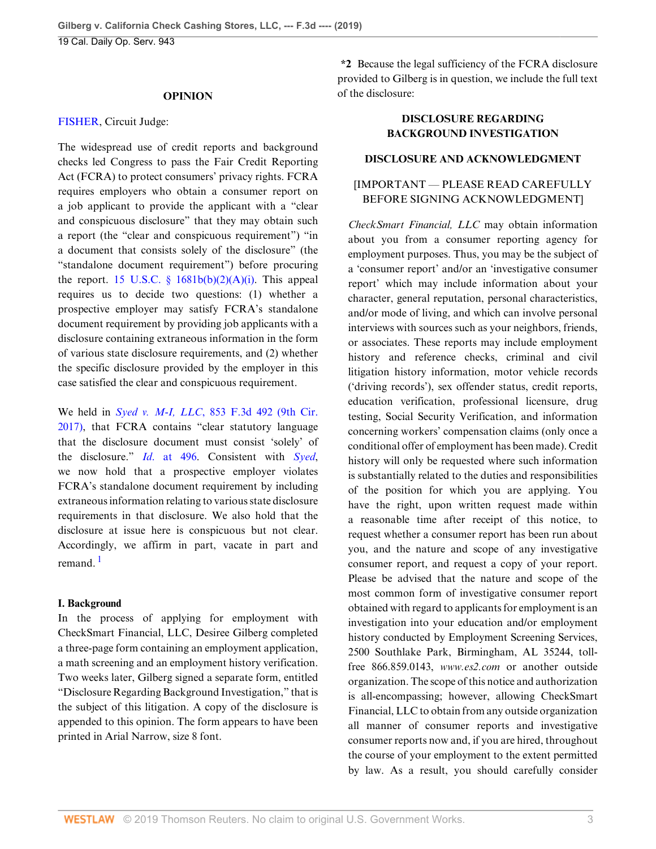#### **OPINION**

#### [FISHER,](http://www.westlaw.com/Link/Document/FullText?findType=h&pubNum=176284&cite=0166330201&originatingDoc=I6fd570a023e611e9a174b18b713fc6d4&refType=RQ&originationContext=document&vr=3.0&rs=cblt1.0&transitionType=DocumentItem&contextData=(sc.Default)) Circuit Judge:

The widespread use of credit reports and background checks led Congress to pass the Fair Credit Reporting Act (FCRA) to protect consumers' privacy rights. FCRA requires employers who obtain a consumer report on a job applicant to provide the applicant with a "clear and conspicuous disclosure" that they may obtain such a report (the "clear and conspicuous requirement") "in a document that consists solely of the disclosure" (the "standalone document requirement") before procuring the report. 15 U.S.C.  $\frac{1681b(b)(2)(A)(i)}{2}$ . This appeal requires us to decide two questions: (1) whether a prospective employer may satisfy FCRA's standalone document requirement by providing job applicants with a disclosure containing extraneous information in the form of various state disclosure requirements, and (2) whether the specific disclosure provided by the employer in this case satisfied the clear and conspicuous requirement.

We held in *Syed v. M-I, LLC*[, 853 F.3d 492 \(9th Cir.](http://www.westlaw.com/Link/Document/FullText?findType=Y&serNum=2041261802&pubNum=0000506&originatingDoc=I6fd570a023e611e9a174b18b713fc6d4&refType=RP&originationContext=document&vr=3.0&rs=cblt1.0&transitionType=DocumentItem&contextData=(sc.Default)) [2017\)](http://www.westlaw.com/Link/Document/FullText?findType=Y&serNum=2041261802&pubNum=0000506&originatingDoc=I6fd570a023e611e9a174b18b713fc6d4&refType=RP&originationContext=document&vr=3.0&rs=cblt1.0&transitionType=DocumentItem&contextData=(sc.Default)), that FCRA contains "clear statutory language that the disclosure document must consist 'solely' of the disclosure." *Id*[. at 496.](http://www.westlaw.com/Link/Document/FullText?findType=Y&serNum=2041261802&pubNum=0000506&originatingDoc=I6fd570a023e611e9a174b18b713fc6d4&refType=RP&fi=co_pp_sp_506_496&originationContext=document&vr=3.0&rs=cblt1.0&transitionType=DocumentItem&contextData=(sc.Default)#co_pp_sp_506_496) Consistent with *[Syed](http://www.westlaw.com/Link/Document/FullText?findType=Y&serNum=2041261802&pubNum=0000506&originatingDoc=I6fd570a023e611e9a174b18b713fc6d4&refType=RP&originationContext=document&vr=3.0&rs=cblt1.0&transitionType=DocumentItem&contextData=(sc.Default))*, we now hold that a prospective employer violates FCRA's standalone document requirement by including extraneous information relating to various state disclosure requirements in that disclosure. We also hold that the disclosure at issue here is conspicuous but not clear. Accordingly, we affirm in part, vacate in part and remand<sup>[1](#page-7-1)</sup>

## <span id="page-2-0"></span>**I. Background**

In the process of applying for employment with CheckSmart Financial, LLC, Desiree Gilberg completed a three-page form containing an employment application, a math screening and an employment history verification. Two weeks later, Gilberg signed a separate form, entitled "Disclosure Regarding Background Investigation," that is the subject of this litigation. A copy of the disclosure is appended to this opinion. The form appears to have been printed in Arial Narrow, size 8 font.

**\*2** Because the legal sufficiency of the FCRA disclosure provided to Gilberg is in question, we include the full text of the disclosure:

## **DISCLOSURE REGARDING BACKGROUND INVESTIGATION**

#### **DISCLOSURE AND ACKNOWLEDGMENT**

## [IMPORTANT — PLEASE READ CAREFULLY BEFORE SIGNING ACKNOWLEDGMENT]

*CheckSmart Financial, LLC* may obtain information about you from a consumer reporting agency for employment purposes. Thus, you may be the subject of a 'consumer report' and/or an 'investigative consumer report' which may include information about your character, general reputation, personal characteristics, and/or mode of living, and which can involve personal interviews with sources such as your neighbors, friends, or associates. These reports may include employment history and reference checks, criminal and civil litigation history information, motor vehicle records ('driving records'), sex offender status, credit reports, education verification, professional licensure, drug testing, Social Security Verification, and information concerning workers' compensation claims (only once a conditional offer of employment has been made). Credit history will only be requested where such information is substantially related to the duties and responsibilities of the position for which you are applying. You have the right, upon written request made within a reasonable time after receipt of this notice, to request whether a consumer report has been run about you, and the nature and scope of any investigative consumer report, and request a copy of your report. Please be advised that the nature and scope of the most common form of investigative consumer report obtained with regard to applicants for employment is an investigation into your education and/or employment history conducted by Employment Screening Services, 2500 Southlake Park, Birmingham, AL 35244, tollfree 866.859.0143, *www.es2.com* or another outside organization. The scope of this notice and authorization is all-encompassing; however, allowing CheckSmart Financial, LLC to obtain from any outside organization all manner of consumer reports and investigative consumer reports now and, if you are hired, throughout the course of your employment to the extent permitted by law. As a result, you should carefully consider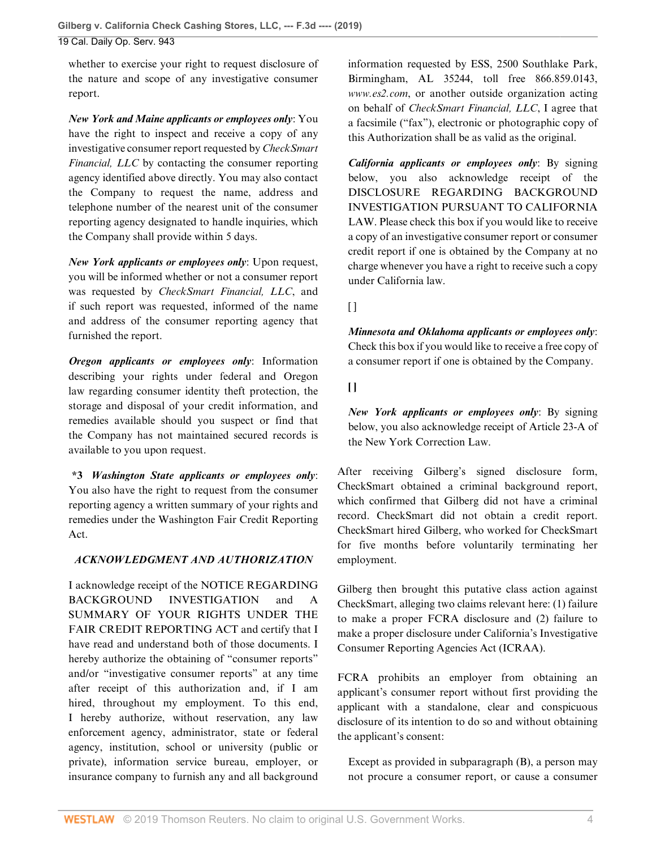whether to exercise your right to request disclosure of the nature and scope of any investigative consumer report.

*New York and Maine applicants or employees only*: You have the right to inspect and receive a copy of any investigative consumer report requested by *CheckSmart Financial, LLC* by contacting the consumer reporting agency identified above directly. You may also contact the Company to request the name, address and telephone number of the nearest unit of the consumer reporting agency designated to handle inquiries, which the Company shall provide within 5 days.

*New York applicants or employees only*: Upon request, you will be informed whether or not a consumer report was requested by *CheckSmart Financial, LLC*, and if such report was requested, informed of the name and address of the consumer reporting agency that furnished the report.

*Oregon applicants or employees only*: Information describing your rights under federal and Oregon law regarding consumer identity theft protection, the storage and disposal of your credit information, and remedies available should you suspect or find that the Company has not maintained secured records is available to you upon request.

**\*3** *Washington State applicants or employees only*: You also have the right to request from the consumer reporting agency a written summary of your rights and remedies under the Washington Fair Credit Reporting Act.

## *ACKNOWLEDGMENT AND AUTHORIZATION*

I acknowledge receipt of the NOTICE REGARDING BACKGROUND INVESTIGATION and A SUMMARY OF YOUR RIGHTS UNDER THE FAIR CREDIT REPORTING ACT and certify that I have read and understand both of those documents. I hereby authorize the obtaining of "consumer reports" and/or "investigative consumer reports" at any time after receipt of this authorization and, if I am hired, throughout my employment. To this end, I hereby authorize, without reservation, any law enforcement agency, administrator, state or federal agency, institution, school or university (public or private), information service bureau, employer, or insurance company to furnish any and all background information requested by ESS, 2500 Southlake Park, Birmingham, AL 35244, toll free 866.859.0143, *www.es2.com*, or another outside organization acting on behalf of *CheckSmart Financial, LLC*, I agree that a facsimile ("fax"), electronic or photographic copy of this Authorization shall be as valid as the original.

*California applicants or employees only*: By signing below, you also acknowledge receipt of the DISCLOSURE REGARDING BACKGROUND INVESTIGATION PURSUANT TO CALIFORNIA LAW. Please check this box if you would like to receive a copy of an investigative consumer report or consumer credit report if one is obtained by the Company at no charge whenever you have a right to receive such a copy under California law.

 $\Box$ 

*Minnesota and Oklahoma applicants or employees only*: Check this box if you would like to receive a free copy of a consumer report if one is obtained by the Company.

**[ ]**

*New York applicants or employees only*: By signing below, you also acknowledge receipt of Article 23-A of the New York Correction Law.

After receiving Gilberg's signed disclosure form, CheckSmart obtained a criminal background report, which confirmed that Gilberg did not have a criminal record. CheckSmart did not obtain a credit report. CheckSmart hired Gilberg, who worked for CheckSmart for five months before voluntarily terminating her employment.

Gilberg then brought this putative class action against CheckSmart, alleging two claims relevant here: (1) failure to make a proper FCRA disclosure and (2) failure to make a proper disclosure under California's Investigative Consumer Reporting Agencies Act (ICRAA).

FCRA prohibits an employer from obtaining an applicant's consumer report without first providing the applicant with a standalone, clear and conspicuous disclosure of its intention to do so and without obtaining the applicant's consent:

Except as provided in subparagraph (B), a person may not procure a consumer report, or cause a consumer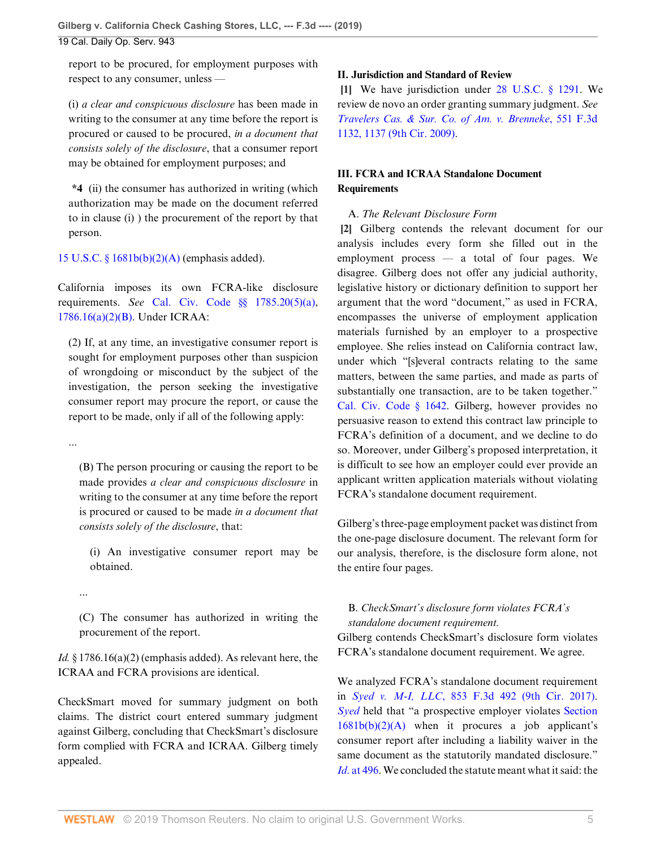report to be procured, for employment purposes with respect to any consumer, unless —

(i) *a clear and conspicuous disclosure* has been made in writing to the consumer at any time before the report is procured or caused to be procured, *in a document that consists solely of the disclosure*, that a consumer report may be obtained for employment purposes; and

**\*4** (ii) the consumer has authorized in writing (which authorization may be made on the document referred to in clause (i) ) the procurement of the report by that person.

[15 U.S.C. § 1681b\(b\)\(2\)\(A\)](http://www.westlaw.com/Link/Document/FullText?findType=L&pubNum=1000546&cite=15USCAS1681B&originatingDoc=I6fd570a023e611e9a174b18b713fc6d4&refType=RB&originationContext=document&vr=3.0&rs=cblt1.0&transitionType=DocumentItem&contextData=(sc.Default)#co_pp_1eca000045f07) (emphasis added).

California imposes its own FCRA-like disclosure requirements. *See* [Cal. Civ. Code §§ 1785.20\(5\)\(a\)](http://www.westlaw.com/Link/Document/FullText?findType=L&pubNum=1000200&cite=CACIS1785.20&originatingDoc=I6fd570a023e611e9a174b18b713fc6d4&refType=LQ&originationContext=document&vr=3.0&rs=cblt1.0&transitionType=DocumentItem&contextData=(sc.Default)), [1786.16\(a\)\(2\)\(B\)](http://www.westlaw.com/Link/Document/FullText?findType=L&pubNum=1000200&cite=CACIS1786.16&originatingDoc=I6fd570a023e611e9a174b18b713fc6d4&refType=SP&originationContext=document&vr=3.0&rs=cblt1.0&transitionType=DocumentItem&contextData=(sc.Default)#co_pp_f93f00008d291). Under ICRAA:

(2) If, at any time, an investigative consumer report is sought for employment purposes other than suspicion of wrongdoing or misconduct by the subject of the investigation, the person seeking the investigative consumer report may procure the report, or cause the report to be made, only if all of the following apply:

...

(B) The person procuring or causing the report to be made provides *a clear and conspicuous disclosure* in writing to the consumer at any time before the report is procured or caused to be made *in a document that consists solely of the disclosure*, that:

(i) An investigative consumer report may be obtained.

...

(C) The consumer has authorized in writing the procurement of the report.

*Id.* § 1786.16(a)(2) (emphasis added). As relevant here, the ICRAA and FCRA provisions are identical.

CheckSmart moved for summary judgment on both claims. The district court entered summary judgment against Gilberg, concluding that CheckSmart's disclosure form complied with FCRA and ICRAA. Gilberg timely appealed.

## **II. Jurisdiction and Standard of Review**

<span id="page-4-0"></span>**[\[1](#page-0-1)]** We have jurisdiction under [28 U.S.C. § 1291](http://www.westlaw.com/Link/Document/FullText?findType=L&pubNum=1000546&cite=28USCAS1291&originatingDoc=I6fd570a023e611e9a174b18b713fc6d4&refType=LQ&originationContext=document&vr=3.0&rs=cblt1.0&transitionType=DocumentItem&contextData=(sc.Default)). We review de novo an order granting summary judgment. *See [Travelers Cas. & Sur. Co. of Am. v. Brenneke](http://www.westlaw.com/Link/Document/FullText?findType=Y&serNum=2017853206&pubNum=0000506&originatingDoc=I6fd570a023e611e9a174b18b713fc6d4&refType=RP&fi=co_pp_sp_506_1137&originationContext=document&vr=3.0&rs=cblt1.0&transitionType=DocumentItem&contextData=(sc.Default)#co_pp_sp_506_1137)*, 551 F.3d [1132, 1137 \(9th Cir. 2009\).](http://www.westlaw.com/Link/Document/FullText?findType=Y&serNum=2017853206&pubNum=0000506&originatingDoc=I6fd570a023e611e9a174b18b713fc6d4&refType=RP&fi=co_pp_sp_506_1137&originationContext=document&vr=3.0&rs=cblt1.0&transitionType=DocumentItem&contextData=(sc.Default)#co_pp_sp_506_1137)

# **III. FCRA and ICRAA Standalone Document Requirements**

## <span id="page-4-1"></span>A. *The Relevant Disclosure Form*

**[\[2](#page-0-2)]** Gilberg contends the relevant document for our analysis includes every form she filled out in the employment process — a total of four pages. We disagree. Gilberg does not offer any judicial authority, legislative history or dictionary definition to support her argument that the word "document," as used in FCRA, encompasses the universe of employment application materials furnished by an employer to a prospective employee. She relies instead on California contract law, under which "[s]everal contracts relating to the same matters, between the same parties, and made as parts of substantially one transaction, are to be taken together." [Cal. Civ. Code § 1642.](http://www.westlaw.com/Link/Document/FullText?findType=L&pubNum=1000200&cite=CACIS1642&originatingDoc=I6fd570a023e611e9a174b18b713fc6d4&refType=LQ&originationContext=document&vr=3.0&rs=cblt1.0&transitionType=DocumentItem&contextData=(sc.Default)) Gilberg, however provides no persuasive reason to extend this contract law principle to FCRA's definition of a document, and we decline to do so. Moreover, under Gilberg's proposed interpretation, it is difficult to see how an employer could ever provide an applicant written application materials without violating FCRA's standalone document requirement.

Gilberg's three-page employment packet was distinct from the one-page disclosure document. The relevant form for our analysis, therefore, is the disclosure form alone, not the entire four pages.

# B. *CheckSmart's disclosure form violates FCRA's standalone document requirement.*

Gilberg contends CheckSmart's disclosure form violates FCRA's standalone document requirement. We agree.

We analyzed FCRA's standalone document requirement in *Syed v. M-I, LLC*[, 853 F.3d 492 \(9th Cir. 2017\)](http://www.westlaw.com/Link/Document/FullText?findType=Y&serNum=2041261802&pubNum=0000506&originatingDoc=I6fd570a023e611e9a174b18b713fc6d4&refType=RP&originationContext=document&vr=3.0&rs=cblt1.0&transitionType=DocumentItem&contextData=(sc.Default)). *[Syed](http://www.westlaw.com/Link/Document/FullText?findType=Y&serNum=2041261802&pubNum=0000506&originatingDoc=I6fd570a023e611e9a174b18b713fc6d4&refType=RP&originationContext=document&vr=3.0&rs=cblt1.0&transitionType=DocumentItem&contextData=(sc.Default))* held that "a prospective employer violates [Section](http://www.westlaw.com/Link/Document/FullText?findType=L&pubNum=1000546&cite=15USCAS1681B&originatingDoc=I6fd570a023e611e9a174b18b713fc6d4&refType=RB&originationContext=document&vr=3.0&rs=cblt1.0&transitionType=DocumentItem&contextData=(sc.Default)#co_pp_1eca000045f07)  $1681b(b)(2)(A)$  when it procures a job applicant's consumer report after including a liability waiver in the same document as the statutorily mandated disclosure." *Id.* at 496. We concluded the statute meant what it said: the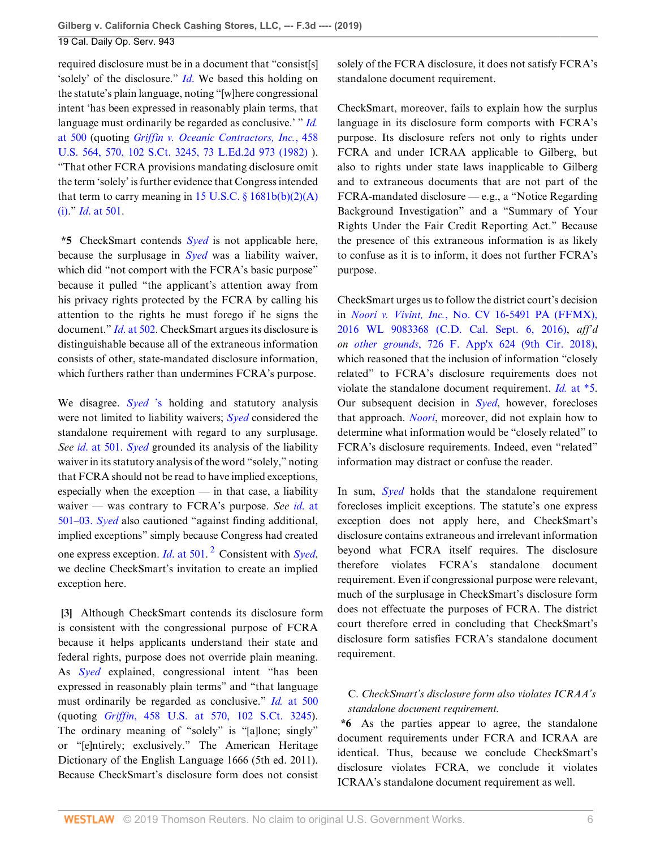required disclosure must be in a document that "consist[s] 'solely' of the disclosure." *[Id](http://www.westlaw.com/Link/Document/FullText?findType=Y&serNum=2041261802&pubNum=0000506&originatingDoc=I6fd570a023e611e9a174b18b713fc6d4&refType=RP&originationContext=document&vr=3.0&rs=cblt1.0&transitionType=DocumentItem&contextData=(sc.Default))*. We based this holding on the statute's plain language, noting "[w]here congressional intent 'has been expressed in reasonably plain terms, that language must ordinarily be regarded as conclusive.' " *[Id.](http://www.westlaw.com/Link/Document/FullText?findType=Y&serNum=2041261802&pubNum=0000506&originatingDoc=I6fd570a023e611e9a174b18b713fc6d4&refType=RP&fi=co_pp_sp_506_500&originationContext=document&vr=3.0&rs=cblt1.0&transitionType=DocumentItem&contextData=(sc.Default)#co_pp_sp_506_500)* [at 500](http://www.westlaw.com/Link/Document/FullText?findType=Y&serNum=2041261802&pubNum=0000506&originatingDoc=I6fd570a023e611e9a174b18b713fc6d4&refType=RP&fi=co_pp_sp_506_500&originationContext=document&vr=3.0&rs=cblt1.0&transitionType=DocumentItem&contextData=(sc.Default)#co_pp_sp_506_500) (quoting *[Griffin v. Oceanic Contractors, Inc.](http://www.westlaw.com/Link/Document/FullText?findType=Y&serNum=1982129342&pubNum=0000780&originatingDoc=I6fd570a023e611e9a174b18b713fc6d4&refType=RP&fi=co_pp_sp_780_570&originationContext=document&vr=3.0&rs=cblt1.0&transitionType=DocumentItem&contextData=(sc.Default)#co_pp_sp_780_570)*, 458 [U.S. 564, 570, 102 S.Ct. 3245, 73 L.Ed.2d 973 \(1982\)](http://www.westlaw.com/Link/Document/FullText?findType=Y&serNum=1982129342&pubNum=0000780&originatingDoc=I6fd570a023e611e9a174b18b713fc6d4&refType=RP&fi=co_pp_sp_780_570&originationContext=document&vr=3.0&rs=cblt1.0&transitionType=DocumentItem&contextData=(sc.Default)#co_pp_sp_780_570) ). "That other FCRA provisions mandating disclosure omit the term 'solely' is further evidence that Congress intended that term to carry meaning in 15 U.S.C.  $\S$  1681b(b)(2)(A) [\(i\)](http://www.westlaw.com/Link/Document/FullText?findType=L&pubNum=1000546&cite=15USCAS1681B&originatingDoc=I6fd570a023e611e9a174b18b713fc6d4&refType=RB&originationContext=document&vr=3.0&rs=cblt1.0&transitionType=DocumentItem&contextData=(sc.Default)#co_pp_226a0000d5fe7)." *Id*[. at 501](http://www.westlaw.com/Link/Document/FullText?findType=Y&serNum=2041261802&pubNum=0000506&originatingDoc=I6fd570a023e611e9a174b18b713fc6d4&refType=RP&fi=co_pp_sp_506_501&originationContext=document&vr=3.0&rs=cblt1.0&transitionType=DocumentItem&contextData=(sc.Default)#co_pp_sp_506_501).

**\*5** CheckSmart contends *[Syed](http://www.westlaw.com/Link/Document/FullText?findType=Y&serNum=2041261802&pubNum=0000506&originatingDoc=I6fd570a023e611e9a174b18b713fc6d4&refType=RP&originationContext=document&vr=3.0&rs=cblt1.0&transitionType=DocumentItem&contextData=(sc.Default))* is not applicable here, because the surplusage in *[Syed](http://www.westlaw.com/Link/Document/FullText?findType=Y&serNum=2041261802&pubNum=0000506&originatingDoc=I6fd570a023e611e9a174b18b713fc6d4&refType=RP&originationContext=document&vr=3.0&rs=cblt1.0&transitionType=DocumentItem&contextData=(sc.Default))* was a liability waiver, which did "not comport with the FCRA's basic purpose" because it pulled "the applicant's attention away from his privacy rights protected by the FCRA by calling his attention to the rights he must forego if he signs the document." *Id*[. at 502](http://www.westlaw.com/Link/Document/FullText?findType=Y&serNum=2041261802&pubNum=0000506&originatingDoc=I6fd570a023e611e9a174b18b713fc6d4&refType=RP&fi=co_pp_sp_506_502&originationContext=document&vr=3.0&rs=cblt1.0&transitionType=DocumentItem&contextData=(sc.Default)#co_pp_sp_506_502). CheckSmart argues its disclosure is distinguishable because all of the extraneous information consists of other, state-mandated disclosure information, which furthers rather than undermines FCRA's purpose.

We disagree. *[Syed](http://www.westlaw.com/Link/Document/FullText?findType=Y&serNum=2041261802&originatingDoc=I6fd570a023e611e9a174b18b713fc6d4&refType=RP&originationContext=document&vr=3.0&rs=cblt1.0&transitionType=DocumentItem&contextData=(sc.Default))* 's holding and statutory analysis were not limited to liability waivers; *[Syed](http://www.westlaw.com/Link/Document/FullText?findType=Y&serNum=2041261802&pubNum=0000506&originatingDoc=I6fd570a023e611e9a174b18b713fc6d4&refType=RP&originationContext=document&vr=3.0&rs=cblt1.0&transitionType=DocumentItem&contextData=(sc.Default))* considered the standalone requirement with regard to any surplusage. *See id*[. at 501](http://www.westlaw.com/Link/Document/FullText?findType=Y&serNum=2041261802&pubNum=0000506&originatingDoc=I6fd570a023e611e9a174b18b713fc6d4&refType=RP&fi=co_pp_sp_506_501&originationContext=document&vr=3.0&rs=cblt1.0&transitionType=DocumentItem&contextData=(sc.Default)#co_pp_sp_506_501). *[Syed](http://www.westlaw.com/Link/Document/FullText?findType=Y&serNum=2041261802&pubNum=0000506&originatingDoc=I6fd570a023e611e9a174b18b713fc6d4&refType=RP&originationContext=document&vr=3.0&rs=cblt1.0&transitionType=DocumentItem&contextData=(sc.Default))* grounded its analysis of the liability waiver in its statutory analysis of the word "solely," noting that FCRA should not be read to have implied exceptions, especially when the exception — in that case, a liability waiver — was contrary to FCRA's purpose. *See id*[. at](http://www.westlaw.com/Link/Document/FullText?findType=Y&serNum=2041261802&pubNum=0000506&originatingDoc=I6fd570a023e611e9a174b18b713fc6d4&refType=RP&originationContext=document&vr=3.0&rs=cblt1.0&transitionType=DocumentItem&contextData=(sc.Default)) [501–03.](http://www.westlaw.com/Link/Document/FullText?findType=Y&serNum=2041261802&pubNum=0000506&originatingDoc=I6fd570a023e611e9a174b18b713fc6d4&refType=RP&originationContext=document&vr=3.0&rs=cblt1.0&transitionType=DocumentItem&contextData=(sc.Default)) *Syed* also cautioned "against finding additional, implied exceptions" simply because Congress had created one express exception. *Id*[. at 501.](http://www.westlaw.com/Link/Document/FullText?findType=Y&serNum=2041261802&pubNum=0000506&originatingDoc=I6fd570a023e611e9a174b18b713fc6d4&refType=RP&fi=co_pp_sp_506_501&originationContext=document&vr=3.0&rs=cblt1.0&transitionType=DocumentItem&contextData=(sc.Default)#co_pp_sp_506_501) [2](#page-7-2) Consistent with *[Syed](http://www.westlaw.com/Link/Document/FullText?findType=Y&serNum=2041261802&pubNum=0000506&originatingDoc=I6fd570a023e611e9a174b18b713fc6d4&refType=RP&originationContext=document&vr=3.0&rs=cblt1.0&transitionType=DocumentItem&contextData=(sc.Default))*, we decline CheckSmart's invitation to create an implied exception here.

<span id="page-5-0"></span>**[\[3](#page-0-0)]** Although CheckSmart contends its disclosure form is consistent with the congressional purpose of FCRA because it helps applicants understand their state and federal rights, purpose does not override plain meaning. As *[Syed](http://www.westlaw.com/Link/Document/FullText?findType=Y&serNum=2041261802&pubNum=0000506&originatingDoc=I6fd570a023e611e9a174b18b713fc6d4&refType=RP&originationContext=document&vr=3.0&rs=cblt1.0&transitionType=DocumentItem&contextData=(sc.Default))* explained, congressional intent "has been expressed in reasonably plain terms" and "that language must ordinarily be regarded as conclusive." *Id.* [at 500](http://www.westlaw.com/Link/Document/FullText?findType=Y&serNum=2041261802&pubNum=0000506&originatingDoc=I6fd570a023e611e9a174b18b713fc6d4&refType=RP&fi=co_pp_sp_506_500&originationContext=document&vr=3.0&rs=cblt1.0&transitionType=DocumentItem&contextData=(sc.Default)#co_pp_sp_506_500) (quoting *Griffin*[, 458 U.S. at 570, 102 S.Ct. 3245\)](http://www.westlaw.com/Link/Document/FullText?findType=Y&serNum=1982129342&pubNum=0000780&originatingDoc=I6fd570a023e611e9a174b18b713fc6d4&refType=RP&fi=co_pp_sp_780_570&originationContext=document&vr=3.0&rs=cblt1.0&transitionType=DocumentItem&contextData=(sc.Default)#co_pp_sp_780_570). The ordinary meaning of "solely" is "[a]lone; singly" or "[e]ntirely; exclusively." The American Heritage Dictionary of the English Language 1666 (5th ed. 2011). Because CheckSmart's disclosure form does not consist

solely of the FCRA disclosure, it does not satisfy FCRA's standalone document requirement.

CheckSmart, moreover, fails to explain how the surplus language in its disclosure form comports with FCRA's purpose. Its disclosure refers not only to rights under FCRA and under ICRAA applicable to Gilberg, but also to rights under state laws inapplicable to Gilberg and to extraneous documents that are not part of the FCRA-mandated disclosure — e.g., a "Notice Regarding Background Investigation" and a "Summary of Your Rights Under the Fair Credit Reporting Act." Because the presence of this extraneous information is as likely to confuse as it is to inform, it does not further FCRA's purpose.

CheckSmart urges us to follow the district court's decision in *Noori v. Vivint, Inc.*[, No. CV 16-5491 PA \(FFMX\),](http://www.westlaw.com/Link/Document/FullText?findType=Y&serNum=2041794590&pubNum=0000999&originatingDoc=I6fd570a023e611e9a174b18b713fc6d4&refType=RP&originationContext=document&vr=3.0&rs=cblt1.0&transitionType=DocumentItem&contextData=(sc.Default)) [2016 WL 9083368 \(C.D. Cal. Sept. 6, 2016\)](http://www.westlaw.com/Link/Document/FullText?findType=Y&serNum=2041794590&pubNum=0000999&originatingDoc=I6fd570a023e611e9a174b18b713fc6d4&refType=RP&originationContext=document&vr=3.0&rs=cblt1.0&transitionType=DocumentItem&contextData=(sc.Default)), *aff'd on other grounds*[, 726 F. App'x 624 \(9th Cir. 2018\)](http://www.westlaw.com/Link/Document/FullText?findType=Y&serNum=2044731704&pubNum=0006538&originatingDoc=I6fd570a023e611e9a174b18b713fc6d4&refType=RP&originationContext=document&vr=3.0&rs=cblt1.0&transitionType=DocumentItem&contextData=(sc.Default)), which reasoned that the inclusion of information "closely related" to FCRA's disclosure requirements does not violate the standalone document requirement. *Id.* [at \\*5](http://www.westlaw.com/Link/Document/FullText?findType=Y&serNum=2041794590&originatingDoc=I6fd570a023e611e9a174b18b713fc6d4&refType=RP&originationContext=document&vr=3.0&rs=cblt1.0&transitionType=DocumentItem&contextData=(sc.Default)). Our subsequent decision in *[Syed](http://www.westlaw.com/Link/Document/FullText?findType=Y&serNum=2041261802&pubNum=0000506&originatingDoc=I6fd570a023e611e9a174b18b713fc6d4&refType=RP&originationContext=document&vr=3.0&rs=cblt1.0&transitionType=DocumentItem&contextData=(sc.Default))*, however, forecloses that approach. *[Noori](http://www.westlaw.com/Link/Document/FullText?findType=Y&serNum=2041794590&pubNum=0006538&originatingDoc=I6fd570a023e611e9a174b18b713fc6d4&refType=RP&originationContext=document&vr=3.0&rs=cblt1.0&transitionType=DocumentItem&contextData=(sc.Default))*, moreover, did not explain how to determine what information would be "closely related" to FCRA's disclosure requirements. Indeed, even "related" information may distract or confuse the reader.

<span id="page-5-1"></span>In sum, *[Syed](http://www.westlaw.com/Link/Document/FullText?findType=Y&serNum=2041261802&pubNum=0000506&originatingDoc=I6fd570a023e611e9a174b18b713fc6d4&refType=RP&originationContext=document&vr=3.0&rs=cblt1.0&transitionType=DocumentItem&contextData=(sc.Default))* holds that the standalone requirement forecloses implicit exceptions. The statute's one express exception does not apply here, and CheckSmart's disclosure contains extraneous and irrelevant information beyond what FCRA itself requires. The disclosure therefore violates FCRA's standalone document requirement. Even if congressional purpose were relevant, much of the surplusage in CheckSmart's disclosure form does not effectuate the purposes of FCRA. The district court therefore erred in concluding that CheckSmart's disclosure form satisfies FCRA's standalone document requirement.

## C. *CheckSmart's disclosure form also violates ICRAA's standalone document requirement.*

**\*6** As the parties appear to agree, the standalone document requirements under FCRA and ICRAA are identical. Thus, because we conclude CheckSmart's disclosure violates FCRA, we conclude it violates ICRAA's standalone document requirement as well.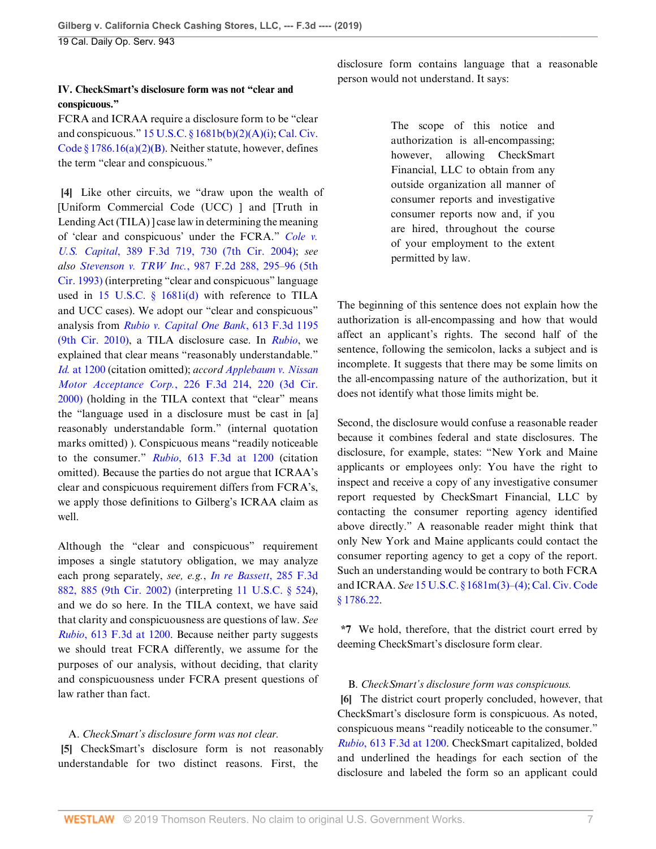#### **IV. CheckSmart's disclosure form was not "clear and conspicuous."**

FCRA and ICRAA require a disclosure form to be "clear and conspicuous." [15 U.S.C. § 1681b\(b\)\(2\)\(A\)\(i\)](http://www.westlaw.com/Link/Document/FullText?findType=L&pubNum=1000546&cite=15USCAS1681B&originatingDoc=I6fd570a023e611e9a174b18b713fc6d4&refType=RB&originationContext=document&vr=3.0&rs=cblt1.0&transitionType=DocumentItem&contextData=(sc.Default)#co_pp_226a0000d5fe7); [Cal. Civ.](http://www.westlaw.com/Link/Document/FullText?findType=L&pubNum=1000200&cite=CACIS1786.16&originatingDoc=I6fd570a023e611e9a174b18b713fc6d4&refType=SP&originationContext=document&vr=3.0&rs=cblt1.0&transitionType=DocumentItem&contextData=(sc.Default)#co_pp_f93f00008d291) [Code § 1786.16\(a\)\(2\)\(B\).](http://www.westlaw.com/Link/Document/FullText?findType=L&pubNum=1000200&cite=CACIS1786.16&originatingDoc=I6fd570a023e611e9a174b18b713fc6d4&refType=SP&originationContext=document&vr=3.0&rs=cblt1.0&transitionType=DocumentItem&contextData=(sc.Default)#co_pp_f93f00008d291) Neither statute, however, defines the term "clear and conspicuous."

<span id="page-6-0"></span>**[\[4](#page-1-1)]** Like other circuits, we "draw upon the wealth of [Uniform Commercial Code (UCC) ] and [Truth in Lending Act (TILA) ] case law in determining the meaning of 'clear and conspicuous' under the FCRA." *[Cole v.](http://www.westlaw.com/Link/Document/FullText?findType=Y&serNum=2005545766&pubNum=0000506&originatingDoc=I6fd570a023e611e9a174b18b713fc6d4&refType=RP&fi=co_pp_sp_506_730&originationContext=document&vr=3.0&rs=cblt1.0&transitionType=DocumentItem&contextData=(sc.Default)#co_pp_sp_506_730) U.S. Capital*[, 389 F.3d 719, 730 \(7th Cir. 2004\)](http://www.westlaw.com/Link/Document/FullText?findType=Y&serNum=2005545766&pubNum=0000506&originatingDoc=I6fd570a023e611e9a174b18b713fc6d4&refType=RP&fi=co_pp_sp_506_730&originationContext=document&vr=3.0&rs=cblt1.0&transitionType=DocumentItem&contextData=(sc.Default)#co_pp_sp_506_730); *see also Stevenson v. TRW Inc.*[, 987 F.2d 288, 295–96 \(5th](http://www.westlaw.com/Link/Document/FullText?findType=Y&serNum=1993069232&pubNum=0000350&originatingDoc=I6fd570a023e611e9a174b18b713fc6d4&refType=RP&fi=co_pp_sp_350_295&originationContext=document&vr=3.0&rs=cblt1.0&transitionType=DocumentItem&contextData=(sc.Default)#co_pp_sp_350_295) [Cir. 1993\)](http://www.westlaw.com/Link/Document/FullText?findType=Y&serNum=1993069232&pubNum=0000350&originatingDoc=I6fd570a023e611e9a174b18b713fc6d4&refType=RP&fi=co_pp_sp_350_295&originationContext=document&vr=3.0&rs=cblt1.0&transitionType=DocumentItem&contextData=(sc.Default)#co_pp_sp_350_295) (interpreting "clear and conspicuous" language used in [15 U.S.C. § 1681i\(d\)](http://www.westlaw.com/Link/Document/FullText?findType=L&pubNum=1000546&cite=15USCAS1681I&originatingDoc=I6fd570a023e611e9a174b18b713fc6d4&refType=RB&originationContext=document&vr=3.0&rs=cblt1.0&transitionType=DocumentItem&contextData=(sc.Default)#co_pp_5ba1000067d06) with reference to TILA and UCC cases). We adopt our "clear and conspicuous" analysis from *[Rubio v. Capital One Bank](http://www.westlaw.com/Link/Document/FullText?findType=Y&serNum=2022574832&pubNum=0000506&originatingDoc=I6fd570a023e611e9a174b18b713fc6d4&refType=RP&originationContext=document&vr=3.0&rs=cblt1.0&transitionType=DocumentItem&contextData=(sc.Default))*, 613 F.3d 1195 [\(9th Cir. 2010\)](http://www.westlaw.com/Link/Document/FullText?findType=Y&serNum=2022574832&pubNum=0000506&originatingDoc=I6fd570a023e611e9a174b18b713fc6d4&refType=RP&originationContext=document&vr=3.0&rs=cblt1.0&transitionType=DocumentItem&contextData=(sc.Default)), a TILA disclosure case. In *[Rubio](http://www.westlaw.com/Link/Document/FullText?findType=Y&serNum=2022574832&pubNum=0000506&originatingDoc=I6fd570a023e611e9a174b18b713fc6d4&refType=RP&originationContext=document&vr=3.0&rs=cblt1.0&transitionType=DocumentItem&contextData=(sc.Default))*, we explained that clear means "reasonably understandable." *Id.* [at 1200](http://www.westlaw.com/Link/Document/FullText?findType=Y&serNum=2022574832&pubNum=0000506&originatingDoc=I6fd570a023e611e9a174b18b713fc6d4&refType=RP&fi=co_pp_sp_506_1200&originationContext=document&vr=3.0&rs=cblt1.0&transitionType=DocumentItem&contextData=(sc.Default)#co_pp_sp_506_1200) (citation omitted); *accord [Applebaum v. Nissan](http://www.westlaw.com/Link/Document/FullText?findType=Y&serNum=2000493672&pubNum=0000506&originatingDoc=I6fd570a023e611e9a174b18b713fc6d4&refType=RP&fi=co_pp_sp_506_220&originationContext=document&vr=3.0&rs=cblt1.0&transitionType=DocumentItem&contextData=(sc.Default)#co_pp_sp_506_220) Motor Acceptance Corp.*[, 226 F.3d 214, 220 \(3d Cir.](http://www.westlaw.com/Link/Document/FullText?findType=Y&serNum=2000493672&pubNum=0000506&originatingDoc=I6fd570a023e611e9a174b18b713fc6d4&refType=RP&fi=co_pp_sp_506_220&originationContext=document&vr=3.0&rs=cblt1.0&transitionType=DocumentItem&contextData=(sc.Default)#co_pp_sp_506_220) [2000\)](http://www.westlaw.com/Link/Document/FullText?findType=Y&serNum=2000493672&pubNum=0000506&originatingDoc=I6fd570a023e611e9a174b18b713fc6d4&refType=RP&fi=co_pp_sp_506_220&originationContext=document&vr=3.0&rs=cblt1.0&transitionType=DocumentItem&contextData=(sc.Default)#co_pp_sp_506_220) (holding in the TILA context that "clear" means the "language used in a disclosure must be cast in [a] reasonably understandable form." (internal quotation marks omitted) ). Conspicuous means "readily noticeable to the consumer." *Rubio*[, 613 F.3d at 1200](http://www.westlaw.com/Link/Document/FullText?findType=Y&serNum=2022574832&pubNum=0000506&originatingDoc=I6fd570a023e611e9a174b18b713fc6d4&refType=RP&fi=co_pp_sp_506_1200&originationContext=document&vr=3.0&rs=cblt1.0&transitionType=DocumentItem&contextData=(sc.Default)#co_pp_sp_506_1200) (citation omitted). Because the parties do not argue that ICRAA's clear and conspicuous requirement differs from FCRA's, we apply those definitions to Gilberg's ICRAA claim as well.

Although the "clear and conspicuous" requirement imposes a single statutory obligation, we may analyze each prong separately, *see, e.g.*, *[In re Bassett](http://www.westlaw.com/Link/Document/FullText?findType=Y&serNum=2002231970&pubNum=0000506&originatingDoc=I6fd570a023e611e9a174b18b713fc6d4&refType=RP&fi=co_pp_sp_506_885&originationContext=document&vr=3.0&rs=cblt1.0&transitionType=DocumentItem&contextData=(sc.Default)#co_pp_sp_506_885)*, 285 F.3d [882, 885 \(9th Cir. 2002\)](http://www.westlaw.com/Link/Document/FullText?findType=Y&serNum=2002231970&pubNum=0000506&originatingDoc=I6fd570a023e611e9a174b18b713fc6d4&refType=RP&fi=co_pp_sp_506_885&originationContext=document&vr=3.0&rs=cblt1.0&transitionType=DocumentItem&contextData=(sc.Default)#co_pp_sp_506_885) (interpreting [11 U.S.C. § 524\)](http://www.westlaw.com/Link/Document/FullText?findType=L&pubNum=1000546&cite=11USCAS524&originatingDoc=I6fd570a023e611e9a174b18b713fc6d4&refType=LQ&originationContext=document&vr=3.0&rs=cblt1.0&transitionType=DocumentItem&contextData=(sc.Default)), and we do so here. In the TILA context, we have said that clarity and conspicuousness are questions of law. *See Rubio*[, 613 F.3d at 1200.](http://www.westlaw.com/Link/Document/FullText?findType=Y&serNum=2022574832&pubNum=0000506&originatingDoc=I6fd570a023e611e9a174b18b713fc6d4&refType=RP&fi=co_pp_sp_506_1200&originationContext=document&vr=3.0&rs=cblt1.0&transitionType=DocumentItem&contextData=(sc.Default)#co_pp_sp_506_1200) Because neither party suggests we should treat FCRA differently, we assume for the purposes of our analysis, without deciding, that clarity and conspicuousness under FCRA present questions of law rather than fact.

## <span id="page-6-1"></span>A. *CheckSmart's disclosure form was not clear.*

**[\[5](#page-1-0)]** CheckSmart's disclosure form is not reasonably understandable for two distinct reasons. First, the

disclosure form contains language that a reasonable person would not understand. It says:

> The scope of this notice and authorization is all-encompassing; however, allowing CheckSmart Financial, LLC to obtain from any outside organization all manner of consumer reports and investigative consumer reports now and, if you are hired, throughout the course of your employment to the extent permitted by law.

The beginning of this sentence does not explain how the authorization is all-encompassing and how that would affect an applicant's rights. The second half of the sentence, following the semicolon, lacks a subject and is incomplete. It suggests that there may be some limits on the all-encompassing nature of the authorization, but it does not identify what those limits might be.

Second, the disclosure would confuse a reasonable reader because it combines federal and state disclosures. The disclosure, for example, states: "New York and Maine applicants or employees only: You have the right to inspect and receive a copy of any investigative consumer report requested by CheckSmart Financial, LLC by contacting the consumer reporting agency identified above directly." A reasonable reader might think that only New York and Maine applicants could contact the consumer reporting agency to get a copy of the report. Such an understanding would be contrary to both FCRA and ICRAA. *See* [15 U.S.C. § 1681m\(3\)–\(4\)](http://www.westlaw.com/Link/Document/FullText?findType=L&pubNum=1000546&cite=15USCAS1681M&originatingDoc=I6fd570a023e611e9a174b18b713fc6d4&refType=LQ&originationContext=document&vr=3.0&rs=cblt1.0&transitionType=DocumentItem&contextData=(sc.Default)); [Cal. Civ. Code](http://www.westlaw.com/Link/Document/FullText?findType=L&pubNum=1000200&cite=CACIS1786.22&originatingDoc=I6fd570a023e611e9a174b18b713fc6d4&refType=LQ&originationContext=document&vr=3.0&rs=cblt1.0&transitionType=DocumentItem&contextData=(sc.Default)) [§ 1786.22](http://www.westlaw.com/Link/Document/FullText?findType=L&pubNum=1000200&cite=CACIS1786.22&originatingDoc=I6fd570a023e611e9a174b18b713fc6d4&refType=LQ&originationContext=document&vr=3.0&rs=cblt1.0&transitionType=DocumentItem&contextData=(sc.Default)).

**\*7** We hold, therefore, that the district court erred by deeming CheckSmart's disclosure form clear.

#### <span id="page-6-2"></span>B. *CheckSmart's disclosure form was conspicuous.*

**[\[6](#page-1-2)]** The district court properly concluded, however, that CheckSmart's disclosure form is conspicuous. As noted, conspicuous means "readily noticeable to the consumer." *Rubio*[, 613 F.3d at 1200.](http://www.westlaw.com/Link/Document/FullText?findType=Y&serNum=2022574832&pubNum=0000506&originatingDoc=I6fd570a023e611e9a174b18b713fc6d4&refType=RP&fi=co_pp_sp_506_1200&originationContext=document&vr=3.0&rs=cblt1.0&transitionType=DocumentItem&contextData=(sc.Default)#co_pp_sp_506_1200) CheckSmart capitalized, bolded and underlined the headings for each section of the disclosure and labeled the form so an applicant could